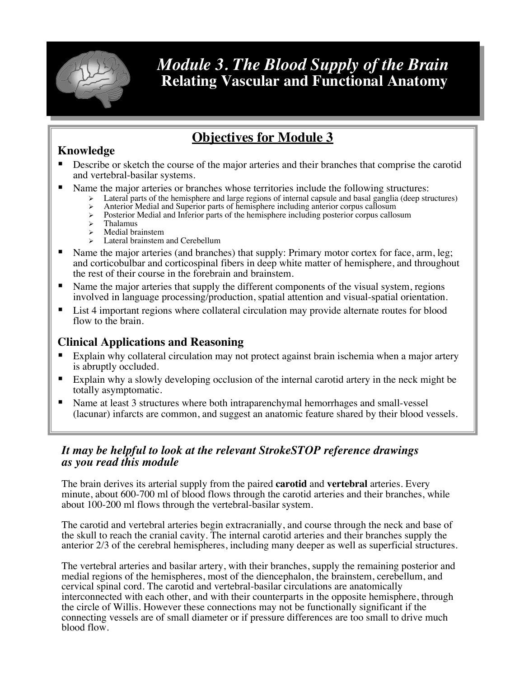

# *Module 3. The Blood Supply of the Brain* **Relating Vascular and Functional Anatomy**

# **Objectives for Module 3**

## **Knowledge**

- Describe or sketch the course of the major arteries and their branches that comprise the carotid and vertebral-basilar systems.
- Name the major arteries or branches whose territories include the following structures:
	- Lateral parts of the hemisphere and large regions of internal capsule and basal ganglia (deep structures)
	- Anterior Medial and Superior parts of hemisphere including anterior corpus callosum
	- $\triangleright$  Posterior Medial and Inferior parts of the hemisphere including posterior corpus callosum  $\triangleright$  Thalamus
	- **Thalamus** Medial brainstem
	- Lateral brainstem and Cerebellum
- Name the major arteries (and branches) that supply: Primary motor cortex for face, arm, leg; and corticobulbar and corticospinal fibers in deep white matter of hemisphere, and throughout the rest of their course in the forebrain and brainstem.
- Name the major arteries that supply the different components of the visual system, regions involved in language processing/production, spatial attention and visual-spatial orientation.
- List 4 important regions where collateral circulation may provide alternate routes for blood flow to the brain.

## **Clinical Applications and Reasoning**

- Explain why collateral circulation may not protect against brain ischemia when a major artery is abruptly occluded.
- Explain why a slowly developing occlusion of the internal carotid artery in the neck might be totally asymptomatic.
- Name at least 3 structures where both intraparenchymal hemorrhages and small-vessel (lacunar) infarcts are common, and suggest an anatomic feature shared by their blood vessels.

## *It may be helpful to look at the relevant StrokeSTOP reference drawings as you read this module*

The brain derives its arterial supply from the paired **carotid** and **vertebral** arteries. Every minute, about 600-700 ml of blood flows through the carotid arteries and their branches, while about 100-200 ml flows through the vertebral-basilar system.

The carotid and vertebral arteries begin extracranially, and course through the neck and base of the skull to reach the cranial cavity. The internal carotid arteries and their branches supply the anterior 2/3 of the cerebral hemispheres, including many deeper as well as superficial structures.

The vertebral arteries and basilar artery, with their branches, supply the remaining posterior and medial regions of the hemispheres, most of the diencephalon, the brainstem, cerebellum, and cervical spinal cord. The carotid and vertebral-basilar circulations are anatomically interconnected with each other, and with their counterparts in the opposite hemisphere, through the circle of Willis. However these connections may not be functionally significant if the connecting vessels are of small diameter or if pressure differences are too small to drive much blood flow.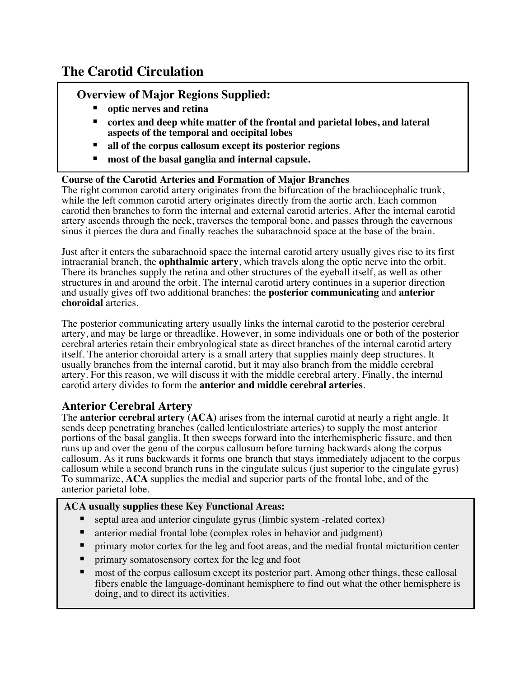# **The Carotid Circulation**

## **Overview of Major Regions Supplied:**

- § **optic nerves and retina**
- cortex and deep white matter of the frontal and parietal lobes, and lateral **aspects of the temporal and occipital lobes**
- **all of the corpus callosum except its posterior regions**
- **most of the basal ganglia and internal capsule.**

#### **Course of the Carotid Arteries and Formation of Major Branches**

The right common carotid artery originates from the bifurcation of the brachiocephalic trunk, while the left common carotid artery originates directly from the aortic arch. Each common carotid then branches to form the internal and external carotid arteries. After the internal carotid artery ascends through the neck, traverses the temporal bone, and passes through the cavernous sinus it pierces the dura and finally reaches the subarachnoid space at the base of the brain.

Just after it enters the subarachnoid space the internal carotid artery usually gives rise to its first intracranial branch, the **ophthalmic artery**, which travels along the optic nerve into the orbit. There its branches supply the retina and other structures of the eyeball itself, as well as other structures in and around the orbit. The internal carotid artery continues in a superior direction and usually gives off two additional branches: the **posterior communicating** and **anterior choroidal** arteries.

The posterior communicating artery usually links the internal carotid to the posterior cerebral artery, and may be large or threadlike. However, in some individuals one or both of the posterior cerebral arteries retain their embryological state as direct branches of the internal carotid artery itself. The anterior choroidal artery is a small artery that supplies mainly deep structures. It usually branches from the internal carotid, but it may also branch from the middle cerebral artery. For this reason, we will discuss it with the middle cerebral artery. Finally, the internal carotid artery divides to form the **anterior and middle cerebral arteries**.

## **Anterior Cerebral Artery**

The **anterior cerebral artery (ACA)** arises from the internal carotid at nearly a right angle. It sends deep penetrating branches (called lenticulostriate arteries) to supply the most anterior portions of the basal ganglia. It then sweeps forward into the interhemispheric fissure, and then runs up and over the genu of the corpus callosum before turning backwards along the corpus callosum. As it runs backwards it forms one branch that stays immediately adjacent to the corpus callosum while a second branch runs in the cingulate sulcus (just superior to the cingulate gyrus) To summarize, **ACA** supplies the medial and superior parts of the frontal lobe, and of the anterior parietal lobe.

#### **ACA usually supplies these Key Functional Areas:**

- § septal area and anterior cingulate gyrus (limbic system -related cortex)
- anterior medial frontal lobe (complex roles in behavior and judgment)
- primary motor cortex for the leg and foot areas, and the medial frontal micturition center
- primary somatosensory cortex for the leg and foot
- most of the corpus callosum except its posterior part. Among other things, these callosal fibers enable the language-dominant hemisphere to find out what the other hemisphere is doing, and to direct its activities.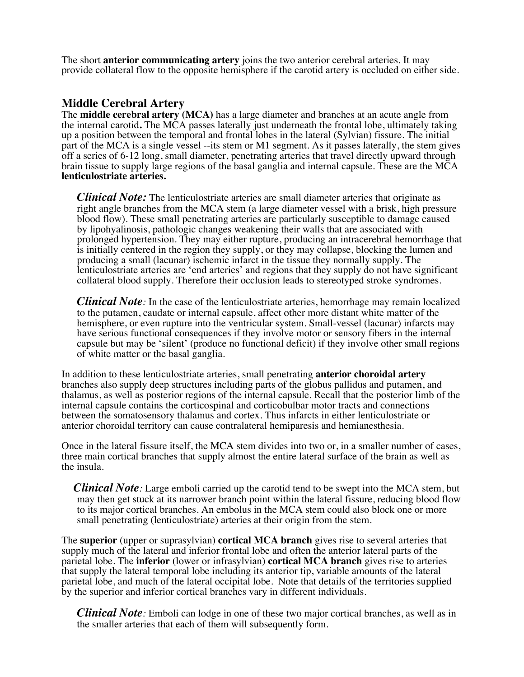The short **anterior communicating artery** joins the two anterior cerebral arteries. It may provide collateral flow to the opposite hemisphere if the carotid artery is occluded on either side.

#### **Middle Cerebral Artery**

The **middle cerebral artery (MCA)** has a large diameter and branches at an acute angle from the internal carotid**.** The MCA passes laterally just underneath the frontal lobe, ultimately taking up a position between the temporal and frontal lobes in the lateral (Sylvian) fissure. The initial part of the MCA is a single vessel --its stem or M1 segment. As it passes laterally, the stem gives off a series of 6-12 long, small diameter, penetrating arteries that travel directly upward through brain tissue to supply large regions of the basal ganglia and internal capsule. These are the MCA **lenticulostriate arteries.**

*Clinical Note:* The lenticulostriate arteries are small diameter arteries that originate as right angle branches from the MCA stem (a large diameter vessel with a brisk, high pressure blood flow). These small penetrating arteries are particularly susceptible to damage caused by lipohyalinosis, pathologic changes weakening their walls that are associated with prolonged hypertension. They may either rupture, producing an intracerebral hemorrhage that is initially centered in the region they supply, or they may collapse, blocking the lumen and producing a small (lacunar) ischemic infarct in the tissue they normally supply. The lenticulostriate arteries are 'end arteries' and regions that they supply do not have significant collateral blood supply. Therefore their occlusion leads to stereotyped stroke syndromes.

*Clinical Note:* In the case of the lenticulostriate arteries, hemorrhage may remain localized to the putamen, caudate or internal capsule, affect other more distant white matter of the hemisphere, or even rupture into the ventricular system. Small-vessel (lacunar) infarcts may have serious functional consequences if they involve motor or sensory fibers in the internal capsule but may be 'silent' (produce no functional deficit) if they involve other small regions of white matter or the basal ganglia.

In addition to these lenticulostriate arteries, small penetrating **anterior choroidal artery** branches also supply deep structures including parts of the globus pallidus and putamen, and thalamus, as well as posterior regions of the internal capsule. Recall that the posterior limb of the internal capsule contains the corticospinal and corticobulbar motor tracts and connections between the somatosensory thalamus and cortex. Thus infarcts in either lenticulostriate or anterior choroidal territory can cause contralateral hemiparesis and hemianesthesia.

Once in the lateral fissure itself, the MCA stem divides into two or, in a smaller number of cases, three main cortical branches that supply almost the entire lateral surface of the brain as well as the insula.

*Clinical Note*: Large emboli carried up the carotid tend to be swept into the MCA stem, but may then get stuck at its narrower branch point within the lateral fissure, reducing blood flow to its major cortical branches. An embolus in the MCA stem could also block one or more small penetrating (lenticulostriate) arteries at their origin from the stem.

The **superior** (upper or suprasylvian) **cortical MCA branch** gives rise to several arteries that supply much of the lateral and inferior frontal lobe and often the anterior lateral parts of the parietal lobe. The **inferior** (lower or infrasylvian) **cortical MCA branch** gives rise to arteries that supply the lateral temporal lobe including its anterior tip, variable amounts of the lateral parietal lobe, and much of the lateral occipital lobe. Note that details of the territories supplied by the superior and inferior cortical branches vary in different individuals.

*Clinical Note:* Emboli can lodge in one of these two major cortical branches, as well as in the smaller arteries that each of them will subsequently form.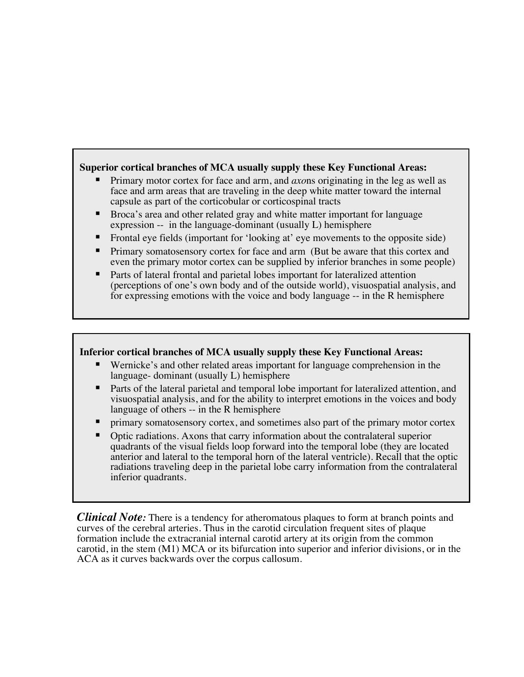#### **Superior cortical branches of MCA usually supply these Key Functional Areas:**

- § Primary motor cortex for face and arm, and *axo*ns originating in the leg as well as face and arm areas that are traveling in the deep white matter toward the internal capsule as part of the corticobular or corticospinal tracts
- § Broca's area and other related gray and white matter important for language expression -- in the language-dominant (usually L) hemisphere
- § Frontal eye fields (important for 'looking at' eye movements to the opposite side)
- **•** Primary somatosensory cortex for face and arm (But be aware that this cortex and even the primary motor cortex can be supplied by inferior branches in some people)
- Parts of lateral frontal and parietal lobes important for lateralized attention (perceptions of one's own body and of the outside world), visuospatial analysis, and for expressing emotions with the voice and body language -- in the R hemisphere

#### **Inferior cortical branches of MCA usually supply these Key Functional Areas:**

- § Wernicke's and other related areas important for language comprehension in the language- dominant (usually L) hemisphere
- Parts of the lateral parietal and temporal lobe important for lateralized attention, and visuospatial analysis, and for the ability to interpret emotions in the voices and body language of others -- in the R hemisphere
- § primary somatosensory cortex, and sometimes also part of the primary motor cortex
- § Optic radiations. Axons that carry information about the contralateral superior quadrants of the visual fields loop forward into the temporal lobe (they are located anterior and lateral to the temporal horn of the lateral ventricle). Recall that the optic radiations traveling deep in the parietal lobe carry information from the contralateral inferior quadrants.

*Clinical Note:* There is a tendency for atheromatous plaques to form at branch points and curves of the cerebral arteries. Thus in the carotid circulation frequent sites of plaque formation include the extracranial internal carotid artery at its origin from the common carotid, in the stem (M1) MCA or its bifurcation into superior and inferior divisions, or in the ACA as it curves backwards over the corpus callosum.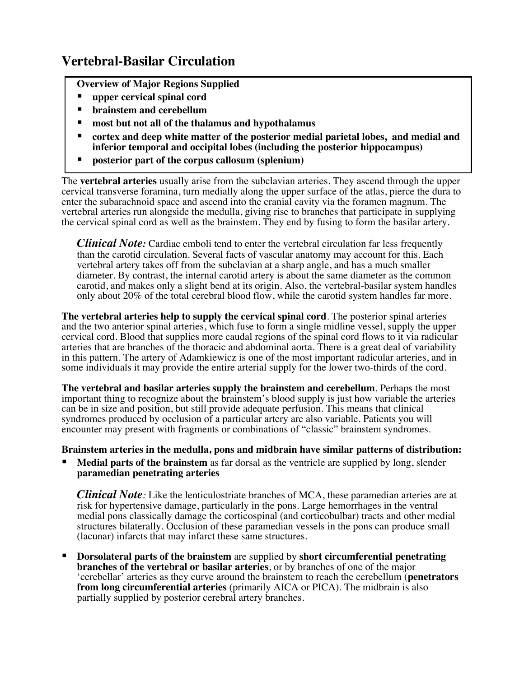# **Vertebral-Basilar Circulation**

- **Overview of Major Regions Supplied**
- § **upper cervical spinal cord**
- § **brainstem and cerebellum**
- § **most but not all of the thalamus and hypothalamus**
- § **cortex and deep white matter of the posterior medial parietal lobes, and medial and inferior temporal and occipital lobes (including the posterior hippocampus)**
- § **posterior part of the corpus callosum (splenium)**

The **vertebral arteries** usually arise from the subclavian arteries. They ascend through the upper cervical transverse foramina, turn medially along the upper surface of the atlas, pierce the dura to enter the subarachnoid space and ascend into the cranial cavity via the foramen magnum. The vertebral arteries run alongside the medulla, giving rise to branches that participate in supplying the cervical spinal cord as well as the brainstem. They end by fusing to form the basilar artery.

*Clinical Note:* Cardiac emboli tend to enter the vertebral circulation far less frequently than the carotid circulation. Several facts of vascular anatomy may account for this. Each vertebral artery takes off from the subclavian at a sharp angle, and has a much smaller diameter. By contrast, the internal carotid artery is about the same diameter as the common carotid, and makes only a slight bend at its origin. Also, the vertebral-basilar system handles only about 20% of the total cerebral blood flow, while the carotid system handles far more.

**The vertebral arteries help to supply the cervical spinal cord**. The posterior spinal arteries and the two anterior spinal arteries, which fuse to form a single midline vessel, supply the upper cervical cord. Blood that supplies more caudal regions of the spinal cord flows to it via radicular arteries that are branches of the thoracic and abdominal aorta. There is a great deal of variability in this pattern. The artery of Adamkiewicz is one of the most important radicular arteries, and in some individuals it may provide the entire arterial supply for the lower two-thirds of the cord.

**The vertebral and basilar arteries supply the brainstem and cerebellum**. Perhaps the most important thing to recognize about the brainstem's blood supply is just how variable the arteries can be in size and position, but still provide adequate perfusion. This means that clinical syndromes produced by occlusion of a particular artery are also variable. Patients you will encounter may present with fragments or combinations of "classic" brainstem syndromes.

**Brainstem arteries in the medulla, pons and midbrain have similar patterns of distribution:** 

**Medial parts of the brainstem** as far dorsal as the ventricle are supplied by long, slender **paramedian penetrating arteries**

*Clinical Note:* Like the lenticulostriate branches of MCA, these paramedian arteries are at risk for hypertensive damage, particularly in the pons. Large hemorrhages in the ventral medial pons classically damage the corticospinal (and corticobulbar) tracts and other medial structures bilaterally. Occlusion of these paramedian vessels in the pons can produce small (lacunar) infarcts that may infarct these same structures.

§ **Dorsolateral parts of the brainstem** are supplied by **short circumferential penetrating branches of the vertebral or basilar arteries**, or by branches of one of the major 'cerebellar' arteries as they curve around the brainstem to reach the cerebellum (**penetrators from long circumferential arteries** (primarily AICA or PICA). The midbrain is also partially supplied by posterior cerebral artery branches.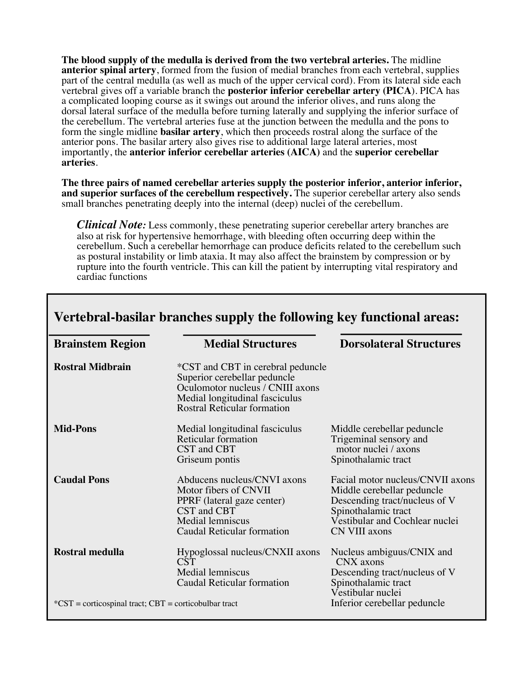**The blood supply of the medulla is derived from the two vertebral arteries.** The midline **anterior spinal artery**, formed from the fusion of medial branches from each vertebral, supplies part of the central medulla (as well as much of the upper cervical cord). From its lateral side each vertebral gives off a variable branch the **posterior inferior cerebellar artery (PICA**). PICA has a complicated looping course as it swings out around the inferior olives, and runs along the dorsal lateral surface of the medulla before turning laterally and supplying the inferior surface of the cerebellum. The vertebral arteries fuse at the junction between the medulla and the pons to form the single midline **basilar artery**, which then proceeds rostral along the surface of the anterior pons. The basilar artery also gives rise to additional large lateral arteries, most importantly, the **anterior inferior cerebellar arteries (AICA)** and the **superior cerebellar arteries**.

**The three pairs of named cerebellar arteries supply the posterior inferior, anterior inferior, and superior surfaces of the cerebellum respectively.** The superior cerebellar artery also sends small branches penetrating deeply into the internal (deep) nuclei of the cerebellum.

*Clinical Note:* Less commonly, these penetrating superior cerebellar artery branches are also at risk for hypertensive hemorrhage, with bleeding often occurring deep within the cerebellum. Such a cerebellar hemorrhage can produce deficits related to the cerebellum such as postural instability or limb ataxia. It may also affect the brainstem by compression or by rupture into the fourth ventricle. This can kill the patient by interrupting vital respiratory and cardiac functions

| <b>Brainstem Region</b>                                   | <b>Medial Structures</b>                                                                                                                                                      | <b>Dorsolateral Structures</b>                                                                                                                                            |
|-----------------------------------------------------------|-------------------------------------------------------------------------------------------------------------------------------------------------------------------------------|---------------------------------------------------------------------------------------------------------------------------------------------------------------------------|
| <b>Rostral Midbrain</b>                                   | *CST and CBT in cerebral peduncle<br>Superior cerebellar peduncle<br>Oculomotor nucleus / CNIII axons<br>Medial longitudinal fasciculus<br><b>Rostral Reticular formation</b> |                                                                                                                                                                           |
| <b>Mid-Pons</b>                                           | Medial longitudinal fasciculus<br>Reticular formation<br>CST and CBT<br>Griseum pontis                                                                                        | Middle cerebellar peduncle<br>Trigeminal sensory and<br>motor nuclei / axons<br>Spinothalamic tract                                                                       |
| <b>Caudal Pons</b>                                        | Abducens nucleus/CNVI axons<br>Motor fibers of CNVII<br>PPRF (lateral gaze center)<br>CST and CBT<br>Medial lemniscus<br>Caudal Reticular formation                           | Facial motor nucleus/CNVII axons<br>Middle cerebellar peduncle<br>Descending tract/nucleus of V<br>Spinothalamic tract<br>Vestibular and Cochlear nuclei<br>CN VIII axons |
| Rostral medulla                                           | Hypoglossal nucleus/CNXII axons<br><b>CST</b><br>Medial lemniscus<br>Caudal Reticular formation                                                                               | Nucleus ambiguus/CNIX and<br>CNX axons<br>Descending tract/nucleus of V<br>Spinothalamic tract<br>Vestibular nuclei                                                       |
| $SCST =$ corticospinal tract; $CBT =$ corticobulbar tract |                                                                                                                                                                               | Inferior cerebellar peduncle                                                                                                                                              |

## **Vertebral-basilar branches supply the following key functional areas:**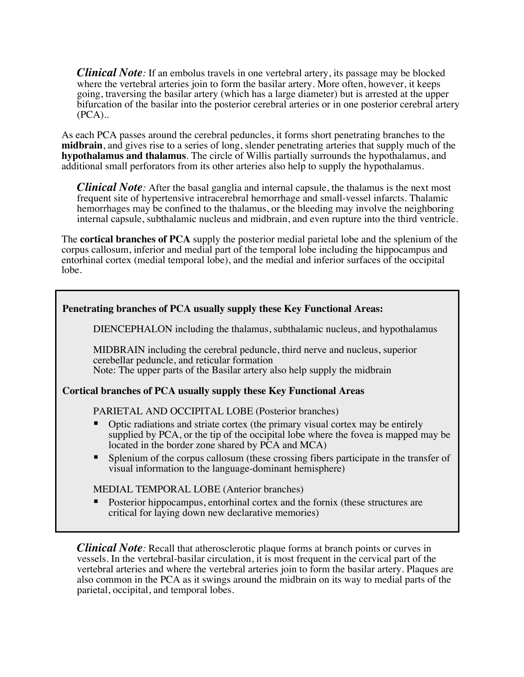*Clinical Note:* If an embolus travels in one vertebral artery, its passage may be blocked where the vertebral arteries join to form the basilar artery. More often, however, it keeps going, traversing the basilar artery (which has a large diameter) but is arrested at the upper bifurcation of the basilar into the posterior cerebral arteries or in one posterior cerebral artery (PCA)..

As each PCA passes around the cerebral peduncles, it forms short penetrating branches to the **midbrain**, and gives rise to a series of long, slender penetrating arteries that supply much of the **hypothalamus and thalamus***.* The circle of Willis partially surrounds the hypothalamus, and additional small perforators from its other arteries also help to supply the hypothalamus.

*Clinical Note*: After the basal ganglia and internal capsule, the thalamus is the next most frequent site of hypertensive intracerebral hemorrhage and small-vessel infarcts. Thalamic hemorrhages may be confined to the thalamus, or the bleeding may involve the neighboring internal capsule, subthalamic nucleus and midbrain, and even rupture into the third ventricle.

The **cortical branches of PCA** supply the posterior medial parietal lobe and the splenium of the corpus callosum, inferior and medial part of the temporal lobe including the hippocampus and entorhinal cortex (medial temporal lobe), and the medial and inferior surfaces of the occipital lobe.

| Penetrating branches of PCA usually supply these Key Functional Areas: |                                                                                                                                                                                                                                                                                                                                                                                                                                                     |  |
|------------------------------------------------------------------------|-----------------------------------------------------------------------------------------------------------------------------------------------------------------------------------------------------------------------------------------------------------------------------------------------------------------------------------------------------------------------------------------------------------------------------------------------------|--|
|                                                                        | DIENCEPHALON including the thalamus, subthalamic nucleus, and hypothalamus                                                                                                                                                                                                                                                                                                                                                                          |  |
|                                                                        | MIDBRAIN including the cerebral peduncle, third nerve and nucleus, superior<br>cerebellar peduncle, and reticular formation<br>Note: The upper parts of the Basilar artery also help supply the midbrain                                                                                                                                                                                                                                            |  |
| Cortical branches of PCA usually supply these Key Functional Areas     |                                                                                                                                                                                                                                                                                                                                                                                                                                                     |  |
|                                                                        | PARIETAL AND OCCIPITAL LOBE (Posterior branches)<br>Optic radiations and striate cortex (the primary visual cortex may be entirely<br>supplied by PCA, or the tip of the occipital lobe where the fovea is mapped may be<br>located in the border zone shared by PCA and MCA)<br>Splenium of the corpus callosum (these crossing fibers participate in the transfer of<br>$\blacksquare$<br>visual information to the language-dominant hemisphere) |  |
|                                                                        | MEDIAL TEMPORAL LOBE (Anterior branches)                                                                                                                                                                                                                                                                                                                                                                                                            |  |
|                                                                        | Posterior hippocampus, entorhinal cortex and the fornix (these structures are<br>п<br>critical for laying down new declarative memories)                                                                                                                                                                                                                                                                                                            |  |

*Clinical Note*: Recall that atherosclerotic plaque forms at branch points or curves in vessels. In the vertebral-basilar circulation, it is most frequent in the cervical part of the vertebral arteries and where the vertebral arteries join to form the basilar artery. Plaques are also common in the PCA as it swings around the midbrain on its way to medial parts of the parietal, occipital, and temporal lobes.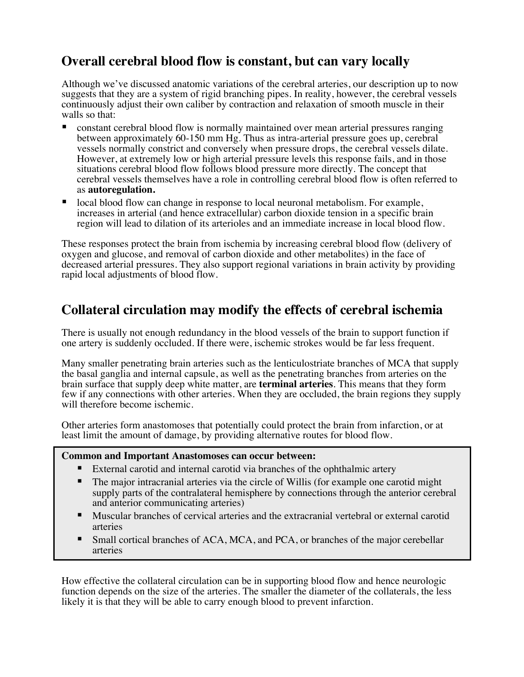# **Overall cerebral blood flow is constant, but can vary locally**

Although we've discussed anatomic variations of the cerebral arteries, our description up to now suggests that they are a system of rigid branching pipes. In reality, however, the cerebral vessels continuously adjust their own caliber by contraction and relaxation of smooth muscle in their walls so that:

- § constant cerebral blood flow is normally maintained over mean arterial pressures ranging between approximately 60-150 mm Hg. Thus as intra-arterial pressure goes up, cerebral vessels normally constrict and conversely when pressure drops, the cerebral vessels dilate. However, at extremely low or high arterial pressure levels this response fails, and in those situations cerebral blood flow follows blood pressure more directly. The concept that cerebral vessels themselves have a role in controlling cerebral blood flow is often referred to as **autoregulation.**
- § local blood flow can change in response to local neuronal metabolism. For example, increases in arterial (and hence extracellular) carbon dioxide tension in a specific brain region will lead to dilation of its arterioles and an immediate increase in local blood flow.

These responses protect the brain from ischemia by increasing cerebral blood flow (delivery of oxygen and glucose, and removal of carbon dioxide and other metabolites) in the face of decreased arterial pressures. They also support regional variations in brain activity by providing rapid local adjustments of blood flow.

## **Collateral circulation may modify the effects of cerebral ischemia**

There is usually not enough redundancy in the blood vessels of the brain to support function if one artery is suddenly occluded. If there were, ischemic strokes would be far less frequent.

Many smaller penetrating brain arteries such as the lenticulostriate branches of MCA that supply the basal ganglia and internal capsule, as well as the penetrating branches from arteries on the brain surface that supply deep white matter, are **terminal arteries**. This means that they form few if any connections with other arteries. When they are occluded, the brain regions they supply will therefore become ischemic.

Other arteries form anastomoses that potentially could protect the brain from infarction, or at least limit the amount of damage, by providing alternative routes for blood flow.

#### **Common and Important Anastomoses can occur between:**

- External carotid and internal carotid via branches of the ophthalmic artery
- The major intracranial arteries via the circle of Willis (for example one carotid might supply parts of the contralateral hemisphere by connections through the anterior cerebral and anterior communicating arteries)
- Muscular branches of cervical arteries and the extracranial vertebral or external carotid arteries
- § Small cortical branches of ACA, MCA, and PCA, or branches of the major cerebellar arteries

How effective the collateral circulation can be in supporting blood flow and hence neurologic function depends on the size of the arteries. The smaller the diameter of the collaterals, the less likely it is that they will be able to carry enough blood to prevent infarction.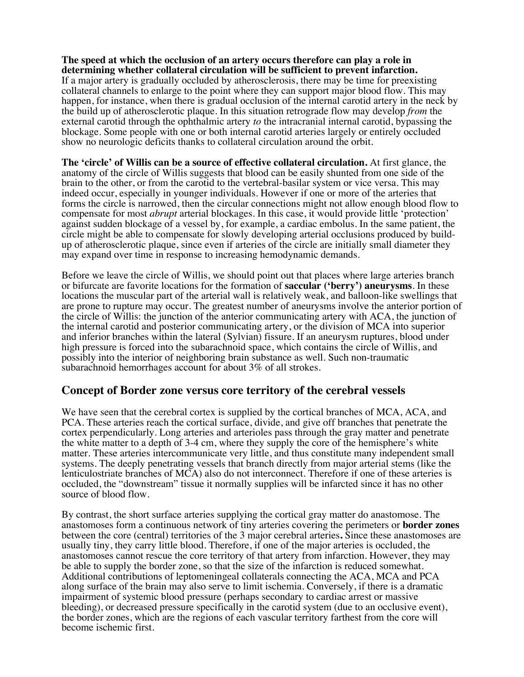#### **The speed at which the occlusion of an artery occurs therefore can play a role in determining whether collateral circulation will be sufficient to prevent infarction.**

If a major artery is gradually occluded by atherosclerosis, there may be time for preexisting collateral channels to enlarge to the point where they can support major blood flow. This may happen, for instance, when there is gradual occlusion of the internal carotid artery in the neck by the build up of atherosclerotic plaque. In this situation retrograde flow may develop *from* the external carotid through the ophthalmic artery *to* the intracranial internal carotid, bypassing the blockage. Some people with one or both internal carotid arteries largely or entirely occluded show no neurologic deficits thanks to collateral circulation around the orbit.

**The 'circle' of Willis can be a source of effective collateral circulation.** At first glance, the anatomy of the circle of Willis suggests that blood can be easily shunted from one side of the brain to the other, or from the carotid to the vertebral-basilar system or vice versa. This may indeed occur, especially in younger individuals. However if one or more of the arteries that forms the circle is narrowed, then the circular connections might not allow enough blood flow to compensate for most *abrupt* arterial blockages. In this case, it would provide little 'protection' against sudden blockage of a vessel by, for example, a cardiac embolus. In the same patient, the circle might be able to compensate for slowly developing arterial occlusions produced by build- up of atherosclerotic plaque, since even if arteries of the circle are initially small diameter they may expand over time in response to increasing hemodynamic demands.

Before we leave the circle of Willis, we should point out that places where large arteries branch or bifurcate are favorite locations for the formation of **saccular ('berry') aneurysms**. In these locations the muscular part of the arterial wall is relatively weak, and balloon-like swellings that are prone to rupture may occur. The greatest number of aneurysms involve the anterior portion of the circle of Willis: the junction of the anterior communicating artery with ACA, the junction of the internal carotid and posterior communicating artery, or the division of MCA into superior and inferior branches within the lateral (Sylvian) fissure. If an aneurysm ruptures, blood under high pressure is forced into the subarachnoid space, which contains the circle of Willis, and possibly into the interior of neighboring brain substance as well. Such non-traumatic subarachnoid hemorrhages account for about 3% of all strokes.

#### **Concept of Border zone versus core territory of the cerebral vessels**

We have seen that the cerebral cortex is supplied by the cortical branches of MCA, ACA, and PCA. These arteries reach the cortical surface, divide, and give off branches that penetrate the cortex perpendicularly. Long arteries and arterioles pass through the gray matter and penetrate the white matter to a depth of 3-4 cm, where they supply the core of the hemisphere's white matter. These arteries intercommunicate very little, and thus constitute many independent small systems. The deeply penetrating vessels that branch directly from major arterial stems (like the lenticulostriate branches of MCA) also do not interconnect. Therefore if one of these arteries is occluded, the "downstream" tissue it normally supplies will be infarcted since it has no other source of blood flow.

By contrast, the short surface arteries supplying the cortical gray matter do anastomose. The anastomoses form a continuous network of tiny arteries covering the perimeters or **border zones** between the core (central) territories of the 3 major cerebral arteries**.** Since these anastomoses are usually tiny, they carry little blood. Therefore, if one of the major arteries is occluded, the anastomoses cannot rescue the core territory of that artery from infarction. However, they may be able to supply the border zone, so that the size of the infarction is reduced somewhat. Additional contributions of leptomeningeal collaterals connecting the ACA, MCA and PCA along surface of the brain may also serve to limit ischemia. Conversely, if there is a dramatic impairment of systemic blood pressure (perhaps secondary to cardiac arrest or massive bleeding), or decreased pressure specifically in the carotid system (due to an occlusive event), the border zones, which are the regions of each vascular territory farthest from the core will become ischemic first.